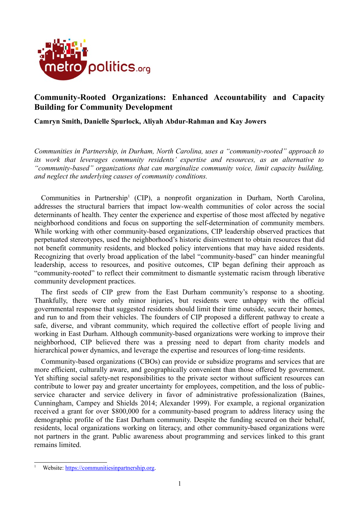

# **Community-Rooted Organizations: Enhanced Accountability and Capacity Building for Community Development**

### **Camryn Smith, Danielle Spurlock, Aliyah Abdur-Rahman and Kay Jowers**

*Communities in Partnership, in Durham, North Carolina, uses a "community-rooted" approach to its work that leverages community residents' expertise and resources, as an alternative to "community-based" organizations that can marginalize community voice, limit capacity building, and neglect the underlying causes of community conditions.*

Communities in Partnership<sup>[1](#page-0-0)</sup> (CIP), a nonprofit organization in Durham, North Carolina, addresses the structural barriers that impact low-wealth communities of color across the social determinants of health. They center the experience and expertise of those most affected by negative neighborhood conditions and focus on supporting the self-determination of community members. While working with other community-based organizations, CIP leadership observed practices that perpetuated stereotypes, used the neighborhood's historic disinvestment to obtain resources that did not benefit community residents, and blocked policy interventions that may have aided residents. Recognizing that overly broad application of the label "community-based" can hinder meaningful leadership, access to resources, and positive outcomes, CIP began defining their approach as "community-rooted" to reflect their commitment to dismantle systematic racism through liberative community development practices.

The first seeds of CIP grew from the East Durham community's response to a shooting. Thankfully, there were only minor injuries, but residents were unhappy with the official governmental response that suggested residents should limit their time outside, secure their homes, and run to and from their vehicles. The founders of CIP proposed a different pathway to create a safe, diverse, and vibrant community, which required the collective effort of people living and working in East Durham. Although community-based organizations were working to improve their neighborhood, CIP believed there was a pressing need to depart from charity models and hierarchical power dynamics, and leverage the expertise and resources of long-time residents.

Community-based organizations (CBOs) can provide or subsidize programs and services that are more efficient, culturally aware, and geographically convenient than those offered by government. Yet shifting social safety-net responsibilities to the private sector without sufficient resources can contribute to lower pay and greater uncertainty for employees, competition, and the loss of publicservice character and service delivery in favor of administrative professionalization (Baines, Cunningham, Campey and Shields 2014; Alexander 1999). For example, a regional organization received a grant for over \$800,000 for a community-based program to address literacy using the demographic profile of the East Durham community. Despite the funding secured on their behalf, residents, local organizations working on literacy, and other community-based organizations were not partners in the grant. Public awareness about programming and services linked to this grant remains limited.

<span id="page-0-0"></span>Website: [https://communitiesinpartnership.org.](https://communitiesinpartnership.org/)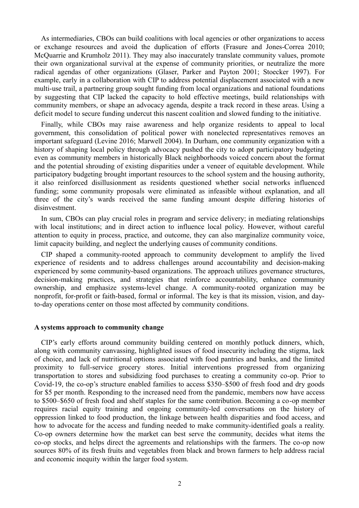As intermediaries, CBOs can build coalitions with local agencies or other organizations to access or exchange resources and avoid the duplication of efforts (Frasure and Jones-Correa 2010; McQuarrie and Krumholz 2011). They may also inaccurately translate community values, promote their own organizational survival at the expense of community priorities, or neutralize the more radical agendas of other organizations (Glaser, Parker and Payton 2001; Stoecker 1997). For example, early in a collaboration with CIP to address potential displacement associated with a new multi-use trail, a partnering group sought funding from local organizations and national foundations by suggesting that CIP lacked the capacity to hold effective meetings, build relationships with community members, or shape an advocacy agenda, despite a track record in these areas. Using a deficit model to secure funding undercut this nascent coalition and slowed funding to the initiative.

Finally, while CBOs may raise awareness and help organize residents to appeal to local government, this consolidation of political power with nonelected representatives removes an important safeguard (Levine 2016; Marwell 2004). In Durham, one community organization with a history of shaping local policy through advocacy pushed the city to adopt participatory budgeting even as community members in historically Black neighborhoods voiced concern about the format and the potential shrouding of existing disparities under a veneer of equitable development. While participatory budgeting brought important resources to the school system and the housing authority, it also reinforced disillusionment as residents questioned whether social networks influenced funding; some community proposals were eliminated as infeasible without explanation, and all three of the city's wards received the same funding amount despite differing histories of disinvestment.

In sum, CBOs can play crucial roles in program and service delivery; in mediating relationships with local institutions; and in direct action to influence local policy. However, without careful attention to equity in process, practice, and outcome, they can also marginalize community voice, limit capacity building, and neglect the underlying causes of community conditions.

CIP shaped a community-rooted approach to community development to amplify the lived experience of residents and to address challenges around accountability and decision-making experienced by some community-based organizations. The approach utilizes governance structures, decision-making practices, and strategies that reinforce accountability, enhance community ownership, and emphasize systems-level change. A community-rooted organization may be nonprofit, for-profit or faith-based, formal or informal. The key is that its mission, vision, and dayto-day operations center on those most affected by community conditions.

#### **A systems approach to community change**

CIP's early efforts around community building centered on monthly potluck dinners, which, along with community canvassing, highlighted issues of food insecurity including the stigma, lack of choice, and lack of nutritional options associated with food pantries and banks, and the limited proximity to full-service grocery stores. Initial interventions progressed from organizing transportation to stores and subsidizing food purchases to creating a community co-op. Prior to Covid-19, the co-op's structure enabled families to access \$350–\$500 of fresh food and dry goods for \$5 per month. Responding to the increased need from the pandemic, members now have access to \$500–\$650 of fresh food and shelf staples for the same contribution. Becoming a co-op member requires racial equity training and ongoing community-led conversations on the history of oppression linked to food production, the linkage between health disparities and food access, and how to advocate for the access and funding needed to make community-identified goals a reality. Co-op owners determine how the market can best serve the community, decides what items the co-op stocks, and helps direct the agreements and relationships with the farmers. The co-op now sources 80% of its fresh fruits and vegetables from black and brown farmers to help address racial and economic inequity within the larger food system.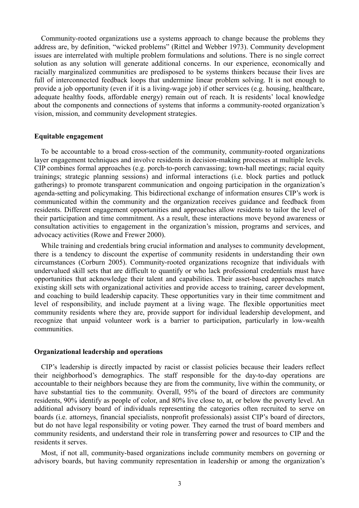Community-rooted organizations use a systems approach to change because the problems they address are, by definition, "wicked problems" (Rittel and Webber 1973). Community development issues are interrelated with multiple problem formulations and solutions. There is no single correct solution as any solution will generate additional concerns. In our experience, economically and racially marginalized communities are predisposed to be systems thinkers because their lives are full of interconnected feedback loops that undermine linear problem solving. It is not enough to provide a job opportunity (even if it is a living-wage job) if other services (e.g. housing, healthcare, adequate healthy foods, affordable energy) remain out of reach. It is residents' local knowledge about the components and connections of systems that informs a community-rooted organization's vision, mission, and community development strategies.

#### **Equitable engagement**

To be accountable to a broad cross-section of the community, community-rooted organizations layer engagement techniques and involve residents in decision-making processes at multiple levels. CIP combines formal approaches (e.g. porch-to-porch canvassing; town-hall meetings; racial equity trainings; strategic planning sessions) and informal interactions (i.e. block parties and potluck gatherings) to promote transparent communication and ongoing participation in the organization's agenda-setting and policymaking. This bidirectional exchange of information ensures CIP's work is communicated within the community and the organization receives guidance and feedback from residents. Different engagement opportunities and approaches allow residents to tailor the level of their participation and time commitment. As a result, these interactions move beyond awareness or consultation activities to engagement in the organization's mission, programs and services, and advocacy activities (Rowe and Frewer 2000).

While training and credentials bring crucial information and analyses to community development, there is a tendency to discount the expertise of community residents in understanding their own circumstances (Corburn 2005). Community-rooted organizations recognize that individuals with undervalued skill sets that are difficult to quantify or who lack professional credentials must have opportunities that acknowledge their talent and capabilities. Their asset-based approaches match existing skill sets with organizational activities and provide access to training, career development, and coaching to build leadership capacity. These opportunities vary in their time commitment and level of responsibility, and include payment at a living wage. The flexible opportunities meet community residents where they are, provide support for individual leadership development, and recognize that unpaid volunteer work is a barrier to participation, particularly in low-wealth communities.

#### **Organizational leadership and operations**

CIP's leadership is directly impacted by racist or classist policies because their leaders reflect their neighborhood's demographics. The staff responsible for the day-to-day operations are accountable to their neighbors because they are from the community, live within the community, or have substantial ties to the community. Overall, 95% of the board of directors are community residents, 90% identify as people of color, and 80% live close to, at, or below the poverty level. An additional advisory board of individuals representing the categories often recruited to serve on boards (i.e. attorneys, financial specialists, nonprofit professionals) assist CIP's board of directors, but do not have legal responsibility or voting power. They earned the trust of board members and community residents, and understand their role in transferring power and resources to CIP and the residents it serves.

Most, if not all, community-based organizations include community members on governing or advisory boards, but having community representation in leadership or among the organization's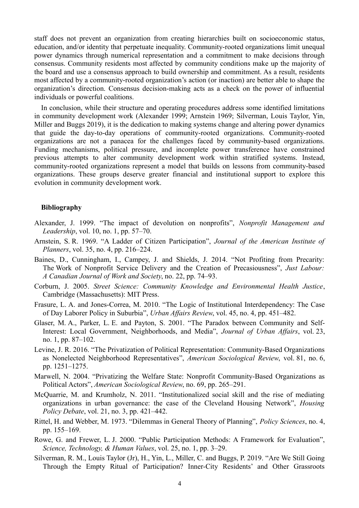staff does not prevent an organization from creating hierarchies built on socioeconomic status, education, and/or identity that perpetuate inequality. Community-rooted organizations limit unequal power dynamics through numerical representation and a commitment to make decisions through consensus. Community residents most affected by community conditions make up the majority of the board and use a consensus approach to build ownership and commitment. As a result, residents most affected by a community-rooted organization's action (or inaction) are better able to shape the organization's direction. Consensus decision-making acts as a check on the power of influential individuals or powerful coalitions.

In conclusion, while their structure and operating procedures address some identified limitations in community development work (Alexander 1999; Arnstein 1969; Silverman, Louis Taylor, Yin, Miller and Buggs 2019), it is the dedication to making systems change and altering power dynamics that guide the day-to-day operations of community-rooted organizations. Community-rooted organizations are not a panacea for the challenges faced by community-based organizations. Funding mechanisms, political pressure, and incomplete power transference have constrained previous attempts to alter community development work within stratified systems. Instead, community-rooted organizations represent a model that builds on lessons from community-based organizations. These groups deserve greater financial and institutional support to explore this evolution in community development work.

#### **Bibliography**

- Alexander, J. 1999. "The impact of devolution on nonprofits", *Nonprofit Management and Leadership*, vol. 10, no. 1, pp. 57–70.
- Arnstein, S. R. 1969. "A Ladder of Citizen Participation", *Journal of the American Institute of Planners*, vol. 35, no. 4, pp. 216–224.
- Baines, D., Cunningham, I., Campey, J. and Shields, J. 2014. "Not Profiting from Precarity: The Work of Nonprofit Service Delivery and the Creation of Precasiousness", *Just Labour: A Canadian Journal of Work and Society*, no. 22, pp. 74–93.
- Corburn, J. 2005. *Street Science: Community Knowledge and Environmental Health Justice*, Cambridge (Massachusetts): MIT Press.
- Frasure, L. A. and Jones-Correa, M. 2010. "The Logic of Institutional Interdependency: The Case of Day Laborer Policy in Suburbia", *Urban Affairs Review*, vol. 45, no. 4, pp. 451–482.
- Glaser, M. A., Parker, L. E. and Payton, S. 2001. "The Paradox between Community and Self-Interest: Local Government, Neighborhoods, and Media", *Journal of Urban Affairs*, vol. 23, no. 1, pp. 87–102.
- Levine, J. R. 2016. "The Privatization of Political Representation: Community-Based Organizations as Nonelected Neighborhood Representatives", *American Sociological Review*, vol. 81, no. 6, pp. 1251–1275.
- Marwell, N. 2004. "Privatizing the Welfare State: Nonprofit Community-Based Organizations as Political Actors", *American Sociological Review*, no. 69, pp. 265–291.
- McQuarrie, M. and Krumholz, N. 2011. "Institutionalized social skill and the rise of mediating organizations in urban governance: the case of the Cleveland Housing Network", *Housing Policy Debate*, vol. 21, no. 3, pp. 421–442.
- Rittel, H. and Webber, M. 1973. "Dilemmas in General Theory of Planning", *Policy Sciences*, no. 4, pp. 155–169.
- Rowe, G. and Frewer, L. J. 2000. "Public Participation Methods: A Framework for Evaluation", *Science, Technology, & Human Values*, vol. 25, no. 1, pp. 3–29.
- Silverman, R. M., Louis Taylor (Jr), H., Yin, L., Miller, C. and Buggs, P. 2019. "Are We Still Going Through the Empty Ritual of Participation? Inner-City Residents' and Other Grassroots